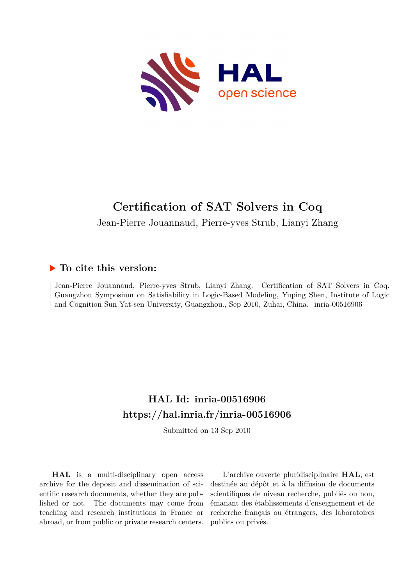

# **Certification of SAT Solvers in Coq**

Jean-Pierre Jouannaud, Pierre-yves Strub, Lianyi Zhang

## **To cite this version:**

Jean-Pierre Jouannaud, Pierre-yves Strub, Lianyi Zhang. Certification of SAT Solvers in Coq. Guangzhou Symposium on Satisfiability in Logic-Based Modeling, Yuping Shen, Institute of Logic and Cognition Sun Yat-sen University, Guangzhou., Sep 2010, Zuhai, China. inria-00516906

# **HAL Id: inria-00516906 <https://hal.inria.fr/inria-00516906>**

Submitted on 13 Sep 2010

**HAL** is a multi-disciplinary open access archive for the deposit and dissemination of scientific research documents, whether they are published or not. The documents may come from teaching and research institutions in France or abroad, or from public or private research centers.

L'archive ouverte pluridisciplinaire **HAL**, est destinée au dépôt et à la diffusion de documents scientifiques de niveau recherche, publiés ou non, émanant des établissements d'enseignement et de recherche français ou étrangers, des laboratoires publics ou privés.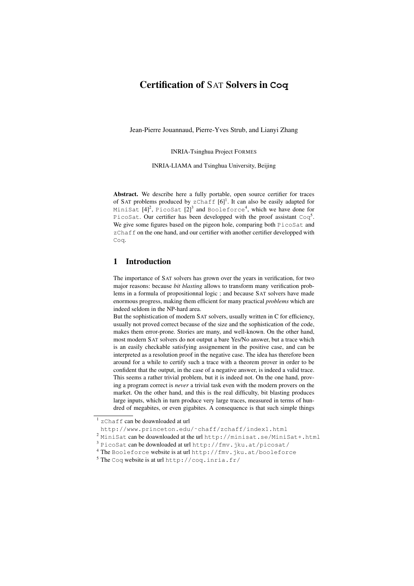## Certification of SAT Solvers in **Coq**

Jean-Pierre Jouannaud, Pierre-Yves Strub, and Lianyi Zhang

INRIA-Tsinghua Project FORMES

INRIA-LIAMA and Tsinghua University, Beijing

Abstract. We describe here a fully portable, open source certifier for traces of SAT problems produced by  $z$ Chaff  $[6]$ <sup>1</sup>. It can also be easily adapted for MiniSat [4] $^2$ , PicoSat [2] $^3$  and Booleforce $^4$ , which we have done for PicoSat. Our certifier has been developped with the proof assistant  $Coq<sup>5</sup>$ . We give some figures based on the pigeon hole, comparing both PicoSat and zChaff on the one hand, and our certifier with another certifier developped with Coq.

## 1 Introduction

The importance of SAT solvers has grown over the years in verification, for two major reasons: because *bit blasting* allows to transform many verification problems in a formula of propositionnal logic ; and because SAT solvers have made enormous progress, making them efficient for many practical *problems* which are indeed seldom in the NP-hard area.

But the sophistication of modern SAT solvers, usually written in C for efficiency, usually not proved correct because of the size and the sophistication of the code, makes them error-prone. Stories are many, and well-known. On the other hand, most modern SAT solvers do not output a bare Yes/No answer, but a trace which is an easily checkable satisfying assignement in the positive case, and can be interpreted as a resolution proof in the negative case. The idea has therefore been around for a while to certify such a trace with a theorem prover in order to be confident that the output, in the case of a negative answer, is indeed a valid trace. This seems a rather trivial problem, but it is indeed not. On the one hand, proving a program correct is *never* a trivial task even with the modern provers on the market. On the other hand, and this is the real difficulty, bit blasting produces large inputs, which in turn produce very large traces, measured in terms of hundred of megabites, or even gigabites. A consequence is that such simple things

 $1$  zChaff can be doawnloaded at url

http://www.princeton.edu/˜chaff/zchaff/index1.html

<sup>2</sup> MiniSat can be doawnloaded at the url http://minisat.se/MiniSat+.html

<sup>3</sup> PicoSat can be downloaded at url http://fmv.jku.at/picosat/

<sup>4</sup> The Booleforce website is at url http://fmv.jku.at/booleforce

<sup>5</sup> The Coq website is at url http://coq.inria.fr/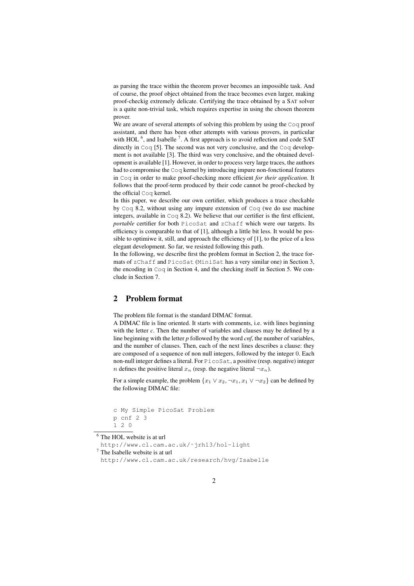as parsing the trace within the theorem prover becomes an impossible task. And of course, the proof object obtained from the trace becomes even larger, making proof-checkig extremely delicate. Certifying the trace obtained by a SAT solver is a quite non-trivial task, which requires expertise in using the chosen theorem prover.

We are aware of several attempts of solving this problem by using the Coq proof assistant, and there has been other attempts with various provers, in particular with HOL  $<sup>6</sup>$ , and Isabelle  $<sup>7</sup>$ . A first approach is to avoid reflection and code SAT</sup></sup> directly in Coq [5]. The second was not very conclusive, and the Coq development is not available [3]. The third was very conclusive, and the obtained development is available [1]. However, in order to process very large traces, the authors had to compromise the Coq kernel by introducing impure non-fonctional features in Coq in order to make proof-checking more efficient *for their application*. It follows that the proof-term produced by their code cannot be proof-checked by the official Coq kernel.

In this paper, we describe our own certifier, which produces a trace checkable by Coq 8.2, without using any impure extension of Coq (we do use machine integers, available in Coq 8.2). We believe that our certifier is the first efficient, *portable* certifier for both PicoSat and zChaff which were our targets. Its efficiency is comparable to that of [1], although a little bit less. It would be possible to optimiwe it, still, and approach the efficiency of [1], to the price of a less elegant development. So far, we resisted following this path.

In the following, we describe first the problem format in Section 2, the trace formats of zChaff and PicoSat (MiniSat has a very similar one) in Section 3, the encoding in Coq in Section 4, and the checking itself in Section 5. We conclude in Section 7.

#### 2 Problem format

The problem file format is the standard DIMAC format.

A DIMAC file is line oriented. It starts with comments, i.e. with lines beginning with the letter *c*. Then the number of variables and clauses may be defined by a line beginning with the letter *p* followed by the word *cnf*, the number of variables, and the number of clauses. Then, each of the next lines describes a clause: they are composed of a sequence of non null integers, followed by the integer 0. Each non-null integer defines a literal. For PicoSat, a positive (resp. negative) integer *n* defines the positive literal  $x_n$  (resp. the negative literal  $\neg x_n$ ).

For a simple example, the problem  $\{x_1 \vee x_2, \neg x_1, x_1 \vee \neg x_2\}$  can be defined by the following DIMAC file:

```
c My Simple PicoSat Problem
p cnf 2 3
1 2 0
```
 $6$  The HOL website is at url

http://www.cl.cam.ac.uk/˜jrh13/hol-light

<sup>7</sup> The Isabelle website is at url

```
http://www.cl.cam.ac.uk/research/hvg/Isabelle
```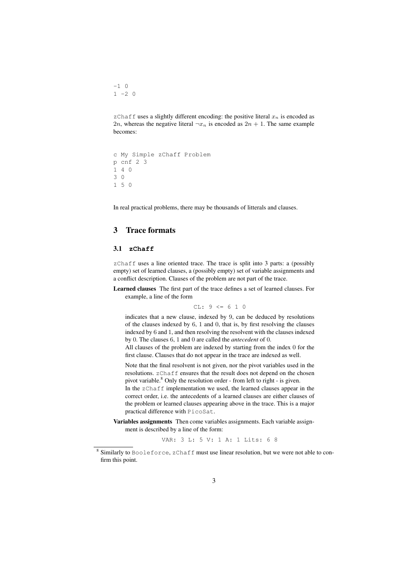$-1$  0  $1 -2 0$ 

zChaff uses a slightly different encoding: the positive literal  $x_n$  is encoded as 2n, whereas the negative literal  $\neg x_n$  is encoded as  $2n + 1$ . The same example becomes:

```
c My Simple zChaff Problem
p cnf 2 3
1 4 0
3 0
1 5 0
```
In real practical problems, there may be thousands of litterals and clauses.

## 3 Trace formats

#### 3.1 **zChaff**

zChaff uses a line oriented trace. The trace is split into 3 parts: a (possibly empty) set of learned clauses, a (possibly empty) set of variable assignments and a conflict description. Clauses of the problem are not part of the trace.

Learned clauses The first part of the trace defines a set of learned clauses. For example, a line of the form

$$
CL: 9 \le 6 1 0
$$

indicates that a new clause, indexed by 9, can be deduced by resolutions of the clauses indexed by 6, 1 and 0, that is, by first resolving the clauses indexed by 6 and 1, and then resolving the resolvent with the clauses indexed by 0. The clauses 6, 1 and 0 are called the *antecedent* of 0.

All clauses of the problem are indexed by starting from the index 0 for the first clause. Clauses that do not appear in the trace are indexed as well.

Note that the final resolvent is not given, nor the pivot variables used in the resolutions. zChaff ensures that the result does not depend on the chosen pivot variable.<sup>8</sup> Only the resolution order - from left to right - is given.

In the zChaff implementation we used, the learned clauses appear in the correct order, i.e. the antecedents of a learned clauses are either clauses of the problem or learned clauses appearing above in the trace. This is a major practical difference with PicoSat.

Variables assignments Then come variables assignments. Each variable assignment is described by a line of the form:

VAR: 3 L: 5 V: 1 A: 1 Lits: 6 8

 $8$  Similarly to Booleforce, zChaff must use linear resolution, but we were not able to confirm this point.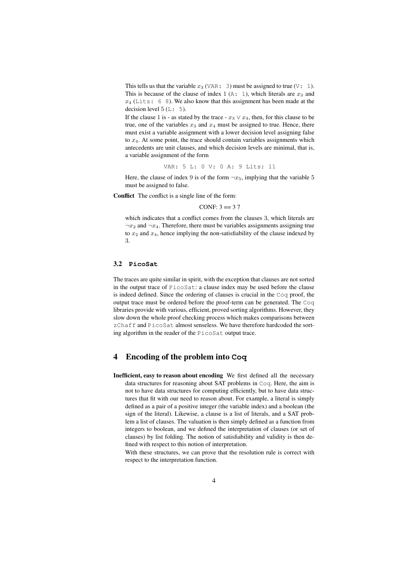This tells us that the variable  $x_3$  (VAR: 3) must be assigned to true (V: 1). This is because of the clause of index 1 (A: 1), which literals are  $x_3$  and  $x_4$  (Lits: 6 8). We also know that this assignment has been made at the decision level  $5(L: 5)$ .

If the clause 1 is - as stated by the trace -  $x_3 \vee x_4$ , then, for this clause to be true, one of the variables  $x_3$  and  $x_4$  must be assigned to true. Hence, there must exist a variable assignment with a lower decision level assigning false to  $x_4$ . At some point, the trace should contain variables assignments which antecedents are unit clauses, and which decision levels are minimal, that is, a variable assignment of the form

VAR: 5 L: 0 V: 0 A: 9 Lits: 11

Here, the clause of index 9 is of the form  $\neg x_5$ , implying that the variable 5 must be assigned to false.

Conflict The conflict is a single line of the form:

CONF:  $3 == 37$ 

which indicates that a conflict comes from the clauses 3, which literals are  $\neg x_2$  and  $\neg x_4$ . Therefore, there must be variables assignments assigning true to  $x_2$  and  $x_4$ , hence implying the non-satisfiability of the clause indexed by 3.

### 3.2 **PicoSat**

The traces are quite similar in spirit, with the exception that clauses are not sorted in the output trace of PicoSat: a clause index may be used before the clause is indeed defined. Since the ordering of clauses is crucial in the Coq proof, the output trace must be ordered before the proof-term can be generated. The Coq libraries provide with various, efficient, proved sorting algorithms. However, they slow down the whole proof checking process which makes comparisons between zChaff and PicoSat almost senseless. We have therefore hardcoded the sorting algorithm in the reader of the PicoSat output trace.

#### 4 Encoding of the problem into **Coq**

Inefficient, easy to reason about encoding We first defined all the necessary data structures for reasoning about SAT problems in Coq. Here, the aim is not to have data structures for computing efficiently, but to have data structures that fit with our need to reason about. For example, a literal is simply defined as a pair of a positive integer (the variable index) and a boolean (the sign of the literal). Likewise, a clause is a list of literals, and a SAT problem a list of clauses. The valuation is then simply defined as a function from integers to boolean, and we defined the interpretation of clauses (or set of clauses) by list folding. The notion of satisfiability and validity is then defined with respect to this notion of interpretation.

With these structures, we can prove that the resolution rule is correct with respect to the interpretation function.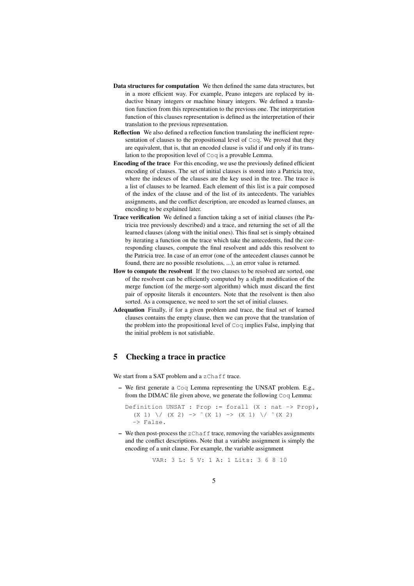- Data structures for computation We then defined the same data structures, but in a more efficient way. For example, Peano integers are replaced by inductive binary integers or machine binary integers. We defined a translation function from this representation to the previous one. The interpretation function of this clauses representation is defined as the interpretation of their translation to the previous representation.
- Reflection We also defined a reflection function translating the inefficient representation of clauses to the propositional level of Coq. We proved that they are equivalent, that is, that an encoded clause is valid if and only if its translation to the proposition level of Coq is a provable Lemma.
- Encoding of the trace For this encoding, we use the previously defined efficient encoding of clauses. The set of initial clauses is stored into a Patricia tree, where the indexes of the clauses are the key used in the tree. The trace is a list of clauses to be learned. Each element of this list is a pair composed of the index of the clause and of the list of its antecedents. The variables assignments, and the conflict description, are encoded as learned clauses, an encoding to be explained later.
- Trace verification We defined a function taking a set of initial clauses (the Patricia tree previously described) and a trace, and returning the set of all the learned clauses (along with the initial ones). This final set is simply obtained by iterating a function on the trace which take the antecedents, find the corresponding clauses, compute the final resolvent and adds this resolvent to the Patricia tree. In case of an error (one of the antecedent clauses cannot be found, there are no possible resolutions, ...), an error value is returned.
- How to compute the resolvent If the two clauses to be resolved are sorted, one of the resolvent can be efficiently computed by a slight modification of the merge function (of the merge-sort algorithm) which must discard the first pair of opposite literals it encounters. Note that the resolvent is then also sorted. As a consquence, we need to sort the set of initial clauses.
- Adequation Finally, if for a given problem and trace, the final set of learned clauses contains the empty clause, then we can prove that the translation of the problem into the propositional level of Coq implies False, implying that the initial problem is not satisfiable.

## 5 Checking a trace in practice

We start from a SAT problem and a zChaff trace.

– We first generate a Coq Lemma representing the UNSAT problem. E.g., from the DIMAC file given above, we generate the following Coq Lemma:

Definition UNSAT : Prop := forall  $(X : nat \rightarrow Prop)$ , (X 1)  $\setminus$  (X 2) -> ~(X 1) -> (X 1)  $\setminus$  ~(X 2) -> False.

– We then post-process the zChaff trace, removing the variables assignments and the conflict descriptions. Note that a variable assignment is simply the encoding of a unit clause. For example, the variable assignment

VAR: 3 L: 5 V: 1 A: 1 Lits: 3 6 8 10